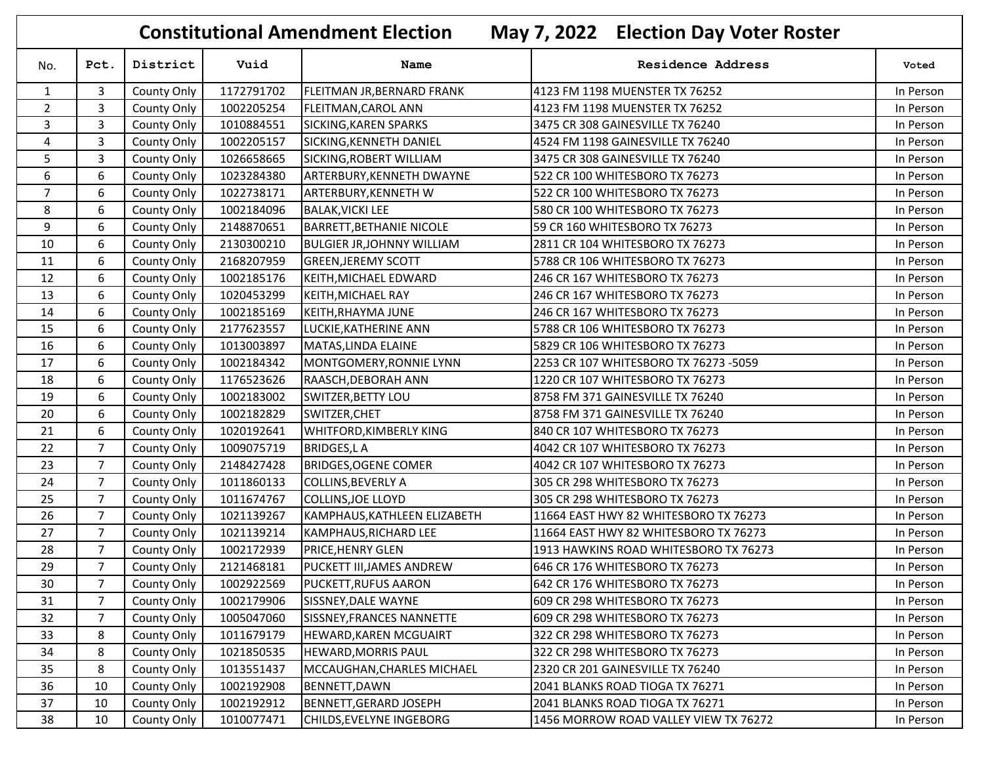|                |                |             |            | <b>Constitutional Amendment Election</b> | May 7, 2022 Election Day Voter Roster |           |
|----------------|----------------|-------------|------------|------------------------------------------|---------------------------------------|-----------|
| No.            | Pct.           | District    | Vuid       | Name                                     | <b>Residence Address</b>              | Voted     |
| $\mathbf{1}$   | 3              | County Only | 1172791702 | FLEITMAN JR, BERNARD FRANK               | 4123 FM 1198 MUENSTER TX 76252        | In Person |
| $\overline{2}$ | 3              | County Only | 1002205254 | FLEITMAN, CAROL ANN                      | 4123 FM 1198 MUENSTER TX 76252        | In Person |
| 3              | 3              | County Only | 1010884551 | SICKING, KAREN SPARKS                    | 3475 CR 308 GAINESVILLE TX 76240      | In Person |
| 4              | 3              | County Only | 1002205157 | SICKING, KENNETH DANIEL                  | 4524 FM 1198 GAINESVILLE TX 76240     | In Person |
| 5              | 3              | County Only | 1026658665 | SICKING, ROBERT WILLIAM                  | 3475 CR 308 GAINESVILLE TX 76240      | In Person |
| 6              | 6              | County Only | 1023284380 | ARTERBURY, KENNETH DWAYNE                | 522 CR 100 WHITESBORO TX 76273        | In Person |
| $\overline{7}$ | 6              | County Only | 1022738171 | ARTERBURY, KENNETH W                     | 522 CR 100 WHITESBORO TX 76273        | In Person |
| 8              | 6              | County Only | 1002184096 | <b>BALAK, VICKI LEE</b>                  | 580 CR 100 WHITESBORO TX 76273        | In Person |
| 9              | 6              | County Only | 2148870651 | <b>BARRETT, BETHANIE NICOLE</b>          | 59 CR 160 WHITESBORO TX 76273         | In Person |
| 10             | 6              | County Only | 2130300210 | <b>BULGIER JR, JOHNNY WILLIAM</b>        | 2811 CR 104 WHITESBORO TX 76273       | In Person |
| 11             | 6              | County Only | 2168207959 | <b>GREEN, JEREMY SCOTT</b>               | 5788 CR 106 WHITESBORO TX 76273       | In Person |
| 12             | 6              | County Only | 1002185176 | KEITH, MICHAEL EDWARD                    | 246 CR 167 WHITESBORO TX 76273        | In Person |
| 13             | 6              | County Only | 1020453299 | KEITH, MICHAEL RAY                       | 246 CR 167 WHITESBORO TX 76273        | In Person |
| 14             | 6              | County Only | 1002185169 | KEITH, RHAYMA JUNE                       | 246 CR 167 WHITESBORO TX 76273        | In Person |
| 15             | 6              | County Only | 2177623557 | LUCKIE, KATHERINE ANN                    | 5788 CR 106 WHITESBORO TX 76273       | In Person |
| 16             | 6              | County Only | 1013003897 | MATAS, LINDA ELAINE                      | 5829 CR 106 WHITESBORO TX 76273       | In Person |
| 17             | 6              | County Only | 1002184342 | MONTGOMERY, RONNIE LYNN                  | 2253 CR 107 WHITESBORO TX 76273 -5059 | In Person |
| 18             | 6              | County Only | 1176523626 | RAASCH, DEBORAH ANN                      | 1220 CR 107 WHITESBORO TX 76273       | In Person |
| 19             | 6              | County Only | 1002183002 | SWITZER, BETTY LOU                       | 8758 FM 371 GAINESVILLE TX 76240      | In Person |
| 20             | 6              | County Only | 1002182829 | SWITZER, CHET                            | 8758 FM 371 GAINESVILLE TX 76240      | In Person |
| 21             | 6              | County Only | 1020192641 | WHITFORD, KIMBERLY KING                  | 840 CR 107 WHITESBORO TX 76273        | In Person |
| 22             | $\overline{7}$ | County Only | 1009075719 | <b>BRIDGES, LA</b>                       | 4042 CR 107 WHITESBORO TX 76273       | In Person |
| 23             | $\overline{7}$ | County Only | 2148427428 | <b>BRIDGES, OGENE COMER</b>              | 4042 CR 107 WHITESBORO TX 76273       | In Person |
| 24             | $\overline{7}$ | County Only | 1011860133 | <b>COLLINS, BEVERLY A</b>                | 305 CR 298 WHITESBORO TX 76273        | In Person |
| 25             | $\overline{7}$ | County Only | 1011674767 | COLLINS, JOE LLOYD                       | 305 CR 298 WHITESBORO TX 76273        | In Person |
| 26             | $\overline{7}$ | County Only | 1021139267 | KAMPHAUS, KATHLEEN ELIZABETH             | 11664 EAST HWY 82 WHITESBORO TX 76273 | In Person |
| 27             | $\overline{7}$ | County Only | 1021139214 | KAMPHAUS, RICHARD LEE                    | 11664 EAST HWY 82 WHITESBORO TX 76273 | In Person |
| 28             | $\overline{7}$ | County Only | 1002172939 | PRICE, HENRY GLEN                        | 1913 HAWKINS ROAD WHITESBORO TX 76273 | In Person |
| 29             | $\overline{7}$ | County Only | 2121468181 | PUCKETT III, JAMES ANDREW                | 646 CR 176 WHITESBORO TX 76273        | In Person |
| 30             | 7              | County Only | 1002922569 | <b>PUCKETT, RUFUS AARON</b>              | 642 CR 176 WHITESBORO TX 76273        | In Person |
| 31             | 7              | County Only | 1002179906 | SISSNEY, DALE WAYNE                      | 609 CR 298 WHITESBORO TX 76273        | In Person |
| 32             | $\overline{7}$ | County Only | 1005047060 | SISSNEY, FRANCES NANNETTE                | 609 CR 298 WHITESBORO TX 76273        | In Person |
| 33             | 8              | County Only | 1011679179 | HEWARD, KAREN MCGUAIRT                   | 322 CR 298 WHITESBORO TX 76273        | In Person |
| 34             | 8              | County Only | 1021850535 | HEWARD, MORRIS PAUL                      | 322 CR 298 WHITESBORO TX 76273        | In Person |
| 35             | 8              | County Only | 1013551437 | MCCAUGHAN, CHARLES MICHAEL               | 2320 CR 201 GAINESVILLE TX 76240      | In Person |
| 36             | 10             | County Only | 1002192908 | BENNETT, DAWN                            | 2041 BLANKS ROAD TIOGA TX 76271       | In Person |
| 37             | 10             | County Only | 1002192912 | BENNETT, GERARD JOSEPH                   | 2041 BLANKS ROAD TIOGA TX 76271       | In Person |
| 38             | 10             | County Only | 1010077471 | CHILDS, EVELYNE INGEBORG                 | 1456 MORROW ROAD VALLEY VIEW TX 76272 | In Person |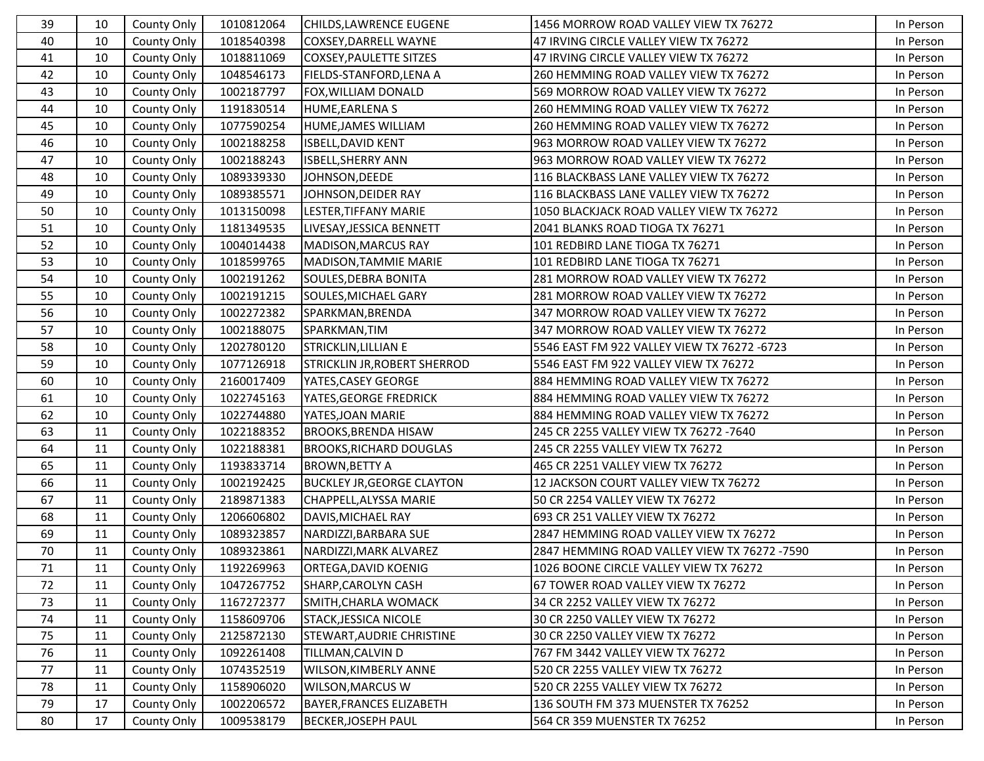| 39 | 10 | County Only        | 1010812064 | CHILDS, LAWRENCE EUGENE             | 1456 MORROW ROAD VALLEY VIEW TX 76272        | In Person |
|----|----|--------------------|------------|-------------------------------------|----------------------------------------------|-----------|
| 40 | 10 | County Only        | 1018540398 | COXSEY, DARRELL WAYNE               | 47 IRVING CIRCLE VALLEY VIEW TX 76272        | In Person |
| 41 | 10 | County Only        | 1018811069 | <b>COXSEY, PAULETTE SITZES</b>      | 47 IRVING CIRCLE VALLEY VIEW TX 76272        | In Person |
| 42 | 10 | County Only        | 1048546173 | FIELDS-STANFORD, LENA A             | 260 HEMMING ROAD VALLEY VIEW TX 76272        | In Person |
| 43 | 10 | County Only        | 1002187797 | FOX, WILLIAM DONALD                 | 569 MORROW ROAD VALLEY VIEW TX 76272         | In Person |
| 44 | 10 | County Only        | 1191830514 | HUME, EARLENA S                     | 260 HEMMING ROAD VALLEY VIEW TX 76272        | In Person |
| 45 | 10 | County Only        | 1077590254 | HUME, JAMES WILLIAM                 | 260 HEMMING ROAD VALLEY VIEW TX 76272        | In Person |
| 46 | 10 | County Only        | 1002188258 | ISBELL, DAVID KENT                  | 963 MORROW ROAD VALLEY VIEW TX 76272         | In Person |
| 47 | 10 | County Only        | 1002188243 | <b>ISBELL, SHERRY ANN</b>           | 963 MORROW ROAD VALLEY VIEW TX 76272         | In Person |
| 48 | 10 | County Only        | 1089339330 | JOHNSON, DEEDE                      | 116 BLACKBASS LANE VALLEY VIEW TX 76272      | In Person |
| 49 | 10 | <b>County Only</b> | 1089385571 | JOHNSON, DEIDER RAY                 | 116 BLACKBASS LANE VALLEY VIEW TX 76272      | In Person |
| 50 | 10 | County Only        | 1013150098 | LESTER, TIFFANY MARIE               | 1050 BLACKJACK ROAD VALLEY VIEW TX 76272     | In Person |
| 51 | 10 | County Only        | 1181349535 | LIVESAY, JESSICA BENNETT            | 2041 BLANKS ROAD TIOGA TX 76271              | In Person |
| 52 | 10 | County Only        | 1004014438 | MADISON, MARCUS RAY                 | 101 REDBIRD LANE TIOGA TX 76271              | In Person |
| 53 | 10 | County Only        | 1018599765 | MADISON, TAMMIE MARIE               | 101 REDBIRD LANE TIOGA TX 76271              | In Person |
| 54 | 10 | County Only        | 1002191262 | SOULES, DEBRA BONITA                | 281 MORROW ROAD VALLEY VIEW TX 76272         | In Person |
| 55 | 10 | County Only        | 1002191215 | SOULES, MICHAEL GARY                | 281 MORROW ROAD VALLEY VIEW TX 76272         | In Person |
| 56 | 10 | County Only        | 1002272382 | SPARKMAN, BRENDA                    | 347 MORROW ROAD VALLEY VIEW TX 76272         | In Person |
| 57 | 10 | County Only        | 1002188075 | SPARKMAN, TIM                       | 347 MORROW ROAD VALLEY VIEW TX 76272         | In Person |
| 58 | 10 | County Only        | 1202780120 | STRICKLIN, LILLIAN E                | 5546 EAST FM 922 VALLEY VIEW TX 76272 -6723  | In Person |
| 59 | 10 | County Only        | 1077126918 | <b>STRICKLIN JR, ROBERT SHERROD</b> | 5546 EAST FM 922 VALLEY VIEW TX 76272        | In Person |
| 60 | 10 | County Only        | 2160017409 | YATES, CASEY GEORGE                 | 884 HEMMING ROAD VALLEY VIEW TX 76272        | In Person |
| 61 | 10 | County Only        | 1022745163 | YATES, GEORGE FREDRICK              | 884 HEMMING ROAD VALLEY VIEW TX 76272        | In Person |
| 62 | 10 | County Only        | 1022744880 | YATES, JOAN MARIE                   | 884 HEMMING ROAD VALLEY VIEW TX 76272        | In Person |
| 63 | 11 | County Only        | 1022188352 | <b>BROOKS, BRENDA HISAW</b>         | 245 CR 2255 VALLEY VIEW TX 76272 -7640       | In Person |
| 64 | 11 | County Only        | 1022188381 | <b>BROOKS, RICHARD DOUGLAS</b>      | 245 CR 2255 VALLEY VIEW TX 76272             | In Person |
| 65 | 11 | County Only        | 1193833714 | <b>BROWN, BETTY A</b>               | 465 CR 2251 VALLEY VIEW TX 76272             | In Person |
| 66 | 11 | County Only        | 1002192425 | <b>BUCKLEY JR, GEORGE CLAYTON</b>   | 12 JACKSON COURT VALLEY VIEW TX 76272        | In Person |
| 67 | 11 | County Only        | 2189871383 | CHAPPELL, ALYSSA MARIE              | 50 CR 2254 VALLEY VIEW TX 76272              | In Person |
| 68 | 11 | County Only        | 1206606802 | DAVIS, MICHAEL RAY                  | 693 CR 251 VALLEY VIEW TX 76272              | In Person |
| 69 | 11 | County Only        | 1089323857 | NARDIZZI, BARBARA SUE               | 2847 HEMMING ROAD VALLEY VIEW TX 76272       | In Person |
| 70 | 11 | County Only        | 1089323861 | NARDIZZI, MARK ALVAREZ              | 2847 HEMMING ROAD VALLEY VIEW TX 76272 -7590 | In Person |
| 71 | 11 | County Only        | 1192269963 | ORTEGA, DAVID KOENIG                | 1026 BOONE CIRCLE VALLEY VIEW TX 76272       | In Person |
| 72 | 11 | County Only        | 1047267752 | SHARP, CAROLYN CASH                 | 67 TOWER ROAD VALLEY VIEW TX 76272           | In Person |
| 73 | 11 | County Only        | 1167272377 | SMITH, CHARLA WOMACK                | 34 CR 2252 VALLEY VIEW TX 76272              | In Person |
| 74 | 11 | County Only        | 1158609706 | <b>STACK, JESSICA NICOLE</b>        | 30 CR 2250 VALLEY VIEW TX 76272              | In Person |
| 75 | 11 | County Only        | 2125872130 | STEWART, AUDRIE CHRISTINE           | 30 CR 2250 VALLEY VIEW TX 76272              | In Person |
| 76 | 11 | County Only        | 1092261408 | TILLMAN, CALVIN D                   | 767 FM 3442 VALLEY VIEW TX 76272             | In Person |
| 77 | 11 | County Only        | 1074352519 | WILSON, KIMBERLY ANNE               | 520 CR 2255 VALLEY VIEW TX 76272             | In Person |
| 78 | 11 | County Only        | 1158906020 | <b>WILSON, MARCUS W</b>             | 520 CR 2255 VALLEY VIEW TX 76272             | In Person |
| 79 | 17 | County Only        | 1002206572 | <b>BAYER, FRANCES ELIZABETH</b>     | 136 SOUTH FM 373 MUENSTER TX 76252           | In Person |
| 80 | 17 | County Only        | 1009538179 | <b>BECKER, JOSEPH PAUL</b>          | 564 CR 359 MUENSTER TX 76252                 | In Person |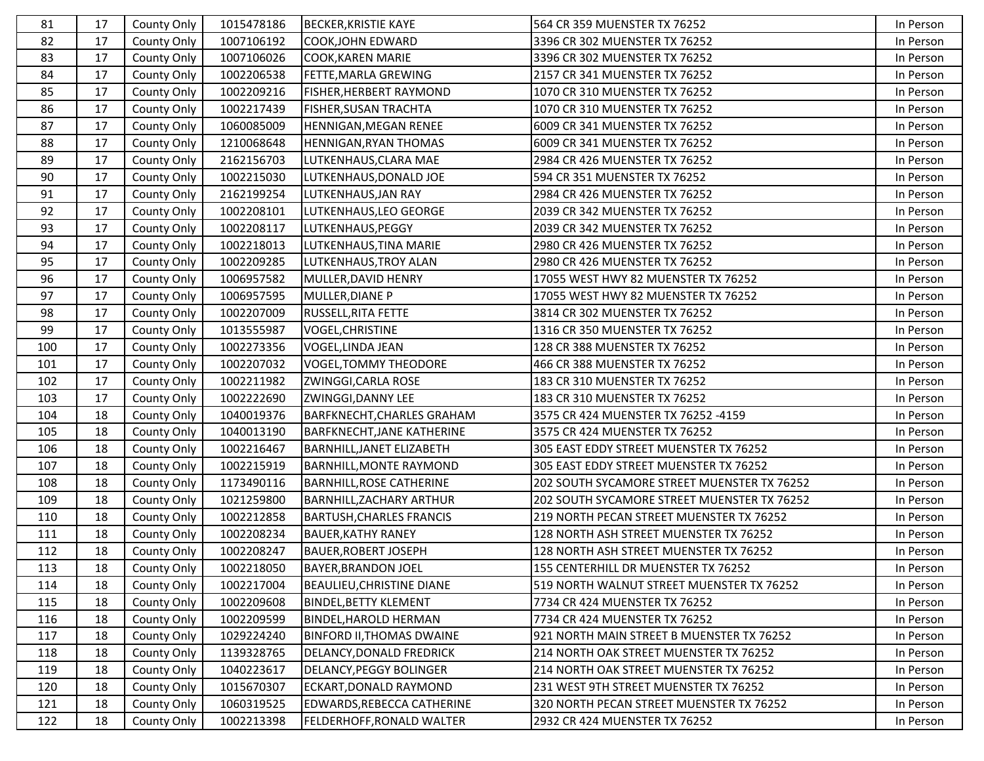| 81  | 17 | County Only | 1015478186 | <b>BECKER, KRISTIE KAYE</b>       | 564 CR 359 MUENSTER TX 76252                | In Person |
|-----|----|-------------|------------|-----------------------------------|---------------------------------------------|-----------|
| 82  | 17 | County Only | 1007106192 | COOK, JOHN EDWARD                 | 3396 CR 302 MUENSTER TX 76252               | In Person |
| 83  | 17 | County Only | 1007106026 | <b>COOK, KAREN MARIE</b>          | 3396 CR 302 MUENSTER TX 76252               | In Person |
| 84  | 17 | County Only | 1002206538 | FETTE, MARLA GREWING              | 2157 CR 341 MUENSTER TX 76252               | In Person |
| 85  | 17 | County Only | 1002209216 | FISHER, HERBERT RAYMOND           | 1070 CR 310 MUENSTER TX 76252               | In Person |
| 86  | 17 | County Only | 1002217439 | FISHER, SUSAN TRACHTA             | 1070 CR 310 MUENSTER TX 76252               | In Person |
| 87  | 17 | County Only | 1060085009 | HENNIGAN, MEGAN RENEE             | 6009 CR 341 MUENSTER TX 76252               | In Person |
| 88  | 17 | County Only | 1210068648 | HENNIGAN, RYAN THOMAS             | 6009 CR 341 MUENSTER TX 76252               | In Person |
| 89  | 17 | County Only | 2162156703 | LUTKENHAUS, CLARA MAE             | 2984 CR 426 MUENSTER TX 76252               | In Person |
| 90  | 17 | County Only | 1002215030 | LUTKENHAUS, DONALD JOE            | 594 CR 351 MUENSTER TX 76252                | In Person |
| 91  | 17 | County Only | 2162199254 | LUTKENHAUS, JAN RAY               | 2984 CR 426 MUENSTER TX 76252               | In Person |
| 92  | 17 | County Only | 1002208101 | LUTKENHAUS, LEO GEORGE            | 2039 CR 342 MUENSTER TX 76252               | In Person |
| 93  | 17 | County Only | 1002208117 | LUTKENHAUS, PEGGY                 | 2039 CR 342 MUENSTER TX 76252               | In Person |
| 94  | 17 | County Only | 1002218013 | LUTKENHAUS, TINA MARIE            | 2980 CR 426 MUENSTER TX 76252               | In Person |
| 95  | 17 | County Only | 1002209285 | LUTKENHAUS, TROY ALAN             | 2980 CR 426 MUENSTER TX 76252               | In Person |
| 96  | 17 | County Only | 1006957582 | MULLER, DAVID HENRY               | 17055 WEST HWY 82 MUENSTER TX 76252         | In Person |
| 97  | 17 | County Only | 1006957595 | MULLER, DIANE P                   | 17055 WEST HWY 82 MUENSTER TX 76252         | In Person |
| 98  | 17 | County Only | 1002207009 | <b>RUSSELL, RITA FETTE</b>        | 3814 CR 302 MUENSTER TX 76252               | In Person |
| 99  | 17 | County Only | 1013555987 | <b>VOGEL, CHRISTINE</b>           | 1316 CR 350 MUENSTER TX 76252               | In Person |
| 100 | 17 | County Only | 1002273356 | VOGEL, LINDA JEAN                 | 128 CR 388 MUENSTER TX 76252                | In Person |
| 101 | 17 | County Only | 1002207032 | <b>VOGEL, TOMMY THEODORE</b>      | 466 CR 388 MUENSTER TX 76252                | In Person |
| 102 | 17 | County Only | 1002211982 | ZWINGGI, CARLA ROSE               | 183 CR 310 MUENSTER TX 76252                | In Person |
| 103 | 17 | County Only | 1002222690 | ZWINGGI, DANNY LEE                | 183 CR 310 MUENSTER TX 76252                | In Person |
| 104 | 18 | County Only | 1040019376 | BARFKNECHT, CHARLES GRAHAM        | 3575 CR 424 MUENSTER TX 76252 -4159         | In Person |
| 105 | 18 | County Only | 1040013190 | <b>BARFKNECHT, JANE KATHERINE</b> | 3575 CR 424 MUENSTER TX 76252               | In Person |
| 106 | 18 | County Only | 1002216467 | BARNHILL, JANET ELIZABETH         | 305 EAST EDDY STREET MUENSTER TX 76252      | In Person |
| 107 | 18 | County Only | 1002215919 | <b>BARNHILL, MONTE RAYMOND</b>    | 305 EAST EDDY STREET MUENSTER TX 76252      | In Person |
| 108 | 18 | County Only | 1173490116 | <b>BARNHILL, ROSE CATHERINE</b>   | 202 SOUTH SYCAMORE STREET MUENSTER TX 76252 | In Person |
| 109 | 18 | County Only | 1021259800 | <b>BARNHILL, ZACHARY ARTHUR</b>   | 202 SOUTH SYCAMORE STREET MUENSTER TX 76252 | In Person |
| 110 | 18 | County Only | 1002212858 | <b>BARTUSH, CHARLES FRANCIS</b>   | 219 NORTH PECAN STREET MUENSTER TX 76252    | In Person |
| 111 | 18 | County Only | 1002208234 | <b>BAUER, KATHY RANEY</b>         | 128 NORTH ASH STREET MUENSTER TX 76252      | In Person |
| 112 | 18 | County Only | 1002208247 | <b>BAUER, ROBERT JOSEPH</b>       | 128 NORTH ASH STREET MUENSTER TX 76252      | In Person |
| 113 | 18 | County Only | 1002218050 | <b>BAYER, BRANDON JOEL</b>        | 155 CENTERHILL DR MUENSTER TX 76252         | In Person |
| 114 | 18 | County Only | 1002217004 | <b>BEAULIEU, CHRISTINE DIANE</b>  | 519 NORTH WALNUT STREET MUENSTER TX 76252   | In Person |
| 115 | 18 | County Only | 1002209608 | <b>BINDEL, BETTY KLEMENT</b>      | 7734 CR 424 MUENSTER TX 76252               | In Person |
| 116 | 18 | County Only | 1002209599 | <b>BINDEL, HAROLD HERMAN</b>      | 7734 CR 424 MUENSTER TX 76252               | In Person |
| 117 | 18 | County Only | 1029224240 | <b>BINFORD II, THOMAS DWAINE</b>  | 921 NORTH MAIN STREET B MUENSTER TX 76252   | In Person |
| 118 | 18 | County Only | 1139328765 | DELANCY, DONALD FREDRICK          | 214 NORTH OAK STREET MUENSTER TX 76252      | In Person |
| 119 | 18 | County Only | 1040223617 | <b>DELANCY, PEGGY BOLINGER</b>    | 214 NORTH OAK STREET MUENSTER TX 76252      | In Person |
| 120 | 18 | County Only | 1015670307 | ECKART, DONALD RAYMOND            | 231 WEST 9TH STREET MUENSTER TX 76252       | In Person |
| 121 | 18 | County Only | 1060319525 | EDWARDS, REBECCA CATHERINE        | 320 NORTH PECAN STREET MUENSTER TX 76252    | In Person |
| 122 | 18 | County Only | 1002213398 | FELDERHOFF, RONALD WALTER         | 2932 CR 424 MUENSTER TX 76252               | In Person |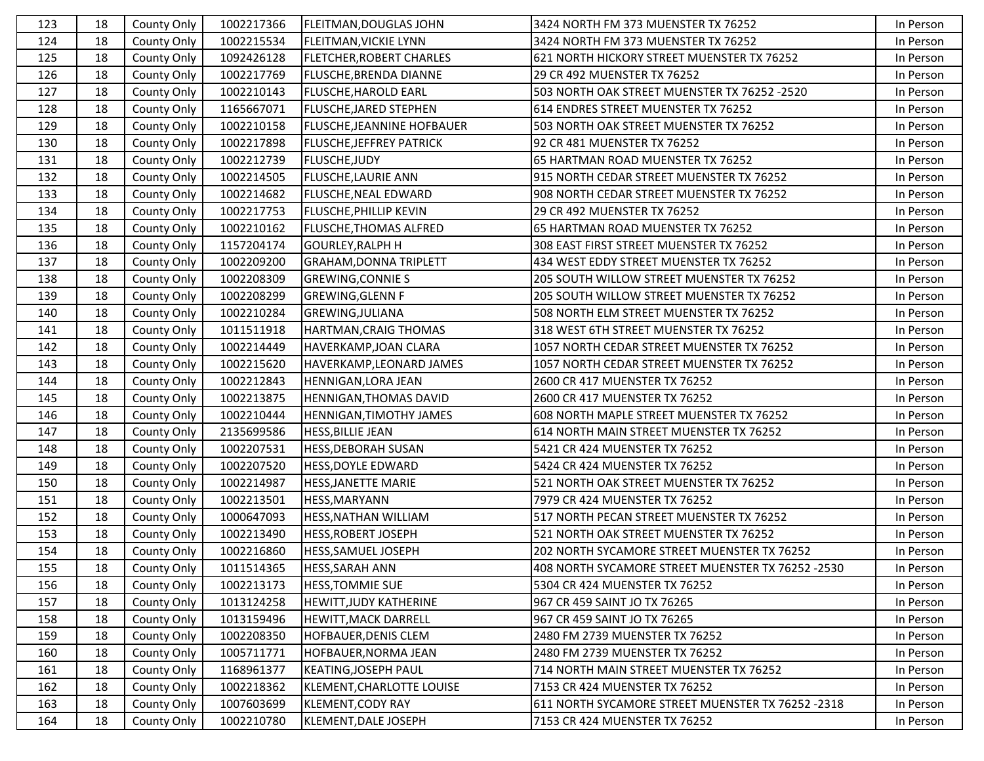| 123 | 18 | County Only | 1002217366 | <b>FLEITMAN, DOUGLAS JOHN</b>     | 3424 NORTH FM 373 MUENSTER TX 76252               | In Person |
|-----|----|-------------|------------|-----------------------------------|---------------------------------------------------|-----------|
| 124 | 18 | County Only | 1002215534 | <b>FLEITMAN, VICKIE LYNN</b>      | 3424 NORTH FM 373 MUENSTER TX 76252               | In Person |
| 125 | 18 | County Only | 1092426128 | <b>FLETCHER, ROBERT CHARLES</b>   | 621 NORTH HICKORY STREET MUENSTER TX 76252        | In Person |
| 126 | 18 | County Only | 1002217769 | <b>FLUSCHE, BRENDA DIANNE</b>     | 29 CR 492 MUENSTER TX 76252                       | In Person |
| 127 | 18 | County Only | 1002210143 | <b>FLUSCHE, HAROLD EARL</b>       | 503 NORTH OAK STREET MUENSTER TX 76252 -2520      | In Person |
| 128 | 18 | County Only | 1165667071 | <b>FLUSCHE, JARED STEPHEN</b>     | 614 ENDRES STREET MUENSTER TX 76252               | In Person |
| 129 | 18 | County Only | 1002210158 | <b>FLUSCHE, JEANNINE HOFBAUER</b> | 503 NORTH OAK STREET MUENSTER TX 76252            | In Person |
| 130 | 18 | County Only | 1002217898 | <b>FLUSCHE, JEFFREY PATRICK</b>   | 92 CR 481 MUENSTER TX 76252                       | In Person |
| 131 | 18 | County Only | 1002212739 | <b>FLUSCHE, JUDY</b>              | 65 HARTMAN ROAD MUENSTER TX 76252                 | In Person |
| 132 | 18 | County Only | 1002214505 | <b>FLUSCHE, LAURIE ANN</b>        | 915 NORTH CEDAR STREET MUENSTER TX 76252          | In Person |
| 133 | 18 | County Only | 1002214682 | <b>FLUSCHE, NEAL EDWARD</b>       | 908 NORTH CEDAR STREET MUENSTER TX 76252          | In Person |
| 134 | 18 | County Only | 1002217753 | <b>FLUSCHE, PHILLIP KEVIN</b>     | 29 CR 492 MUENSTER TX 76252                       | In Person |
| 135 | 18 | County Only | 1002210162 | <b>FLUSCHE, THOMAS ALFRED</b>     | 65 HARTMAN ROAD MUENSTER TX 76252                 | In Person |
| 136 | 18 | County Only | 1157204174 | <b>GOURLEY, RALPH H</b>           | 308 EAST FIRST STREET MUENSTER TX 76252           | In Person |
| 137 | 18 | County Only | 1002209200 | <b>GRAHAM, DONNA TRIPLETT</b>     | 434 WEST EDDY STREET MUENSTER TX 76252            | In Person |
| 138 | 18 | County Only | 1002208309 | <b>GREWING, CONNIE S</b>          | 205 SOUTH WILLOW STREET MUENSTER TX 76252         | In Person |
| 139 | 18 | County Only | 1002208299 | <b>GREWING, GLENN F</b>           | 205 SOUTH WILLOW STREET MUENSTER TX 76252         | In Person |
| 140 | 18 | County Only | 1002210284 | <b>GREWING, JULIANA</b>           | 508 NORTH ELM STREET MUENSTER TX 76252            | In Person |
| 141 | 18 | County Only | 1011511918 | HARTMAN, CRAIG THOMAS             | 318 WEST 6TH STREET MUENSTER TX 76252             | In Person |
| 142 | 18 | County Only | 1002214449 | HAVERKAMP, JOAN CLARA             | 1057 NORTH CEDAR STREET MUENSTER TX 76252         | In Person |
| 143 | 18 | County Only | 1002215620 | HAVERKAMP, LEONARD JAMES          | 1057 NORTH CEDAR STREET MUENSTER TX 76252         | In Person |
| 144 | 18 | County Only | 1002212843 | HENNIGAN, LORA JEAN               | 2600 CR 417 MUENSTER TX 76252                     | In Person |
| 145 | 18 | County Only | 1002213875 | HENNIGAN, THOMAS DAVID            | 2600 CR 417 MUENSTER TX 76252                     | In Person |
| 146 | 18 | County Only | 1002210444 | HENNIGAN, TIMOTHY JAMES           | 608 NORTH MAPLE STREET MUENSTER TX 76252          | In Person |
| 147 | 18 | County Only | 2135699586 | <b>HESS, BILLIE JEAN</b>          | 614 NORTH MAIN STREET MUENSTER TX 76252           | In Person |
| 148 | 18 | County Only | 1002207531 | <b>HESS, DEBORAH SUSAN</b>        | 5421 CR 424 MUENSTER TX 76252                     | In Person |
| 149 | 18 | County Only | 1002207520 | <b>HESS, DOYLE EDWARD</b>         | 5424 CR 424 MUENSTER TX 76252                     | In Person |
| 150 | 18 | County Only | 1002214987 | HESS, JANETTE MARIE               | 521 NORTH OAK STREET MUENSTER TX 76252            | In Person |
| 151 | 18 | County Only | 1002213501 | <b>HESS, MARYANN</b>              | 7979 CR 424 MUENSTER TX 76252                     | In Person |
| 152 | 18 | County Only | 1000647093 | <b>HESS, NATHAN WILLIAM</b>       | 517 NORTH PECAN STREET MUENSTER TX 76252          | In Person |
| 153 | 18 | County Only | 1002213490 | <b>HESS, ROBERT JOSEPH</b>        | 521 NORTH OAK STREET MUENSTER TX 76252            | In Person |
| 154 | 18 | County Only | 1002216860 | HESS, SAMUEL JOSEPH               | 202 NORTH SYCAMORE STREET MUENSTER TX 76252       | In Person |
| 155 | 18 | County Only | 1011514365 | <b>HESS, SARAH ANN</b>            | 408 NORTH SYCAMORE STREET MUENSTER TX 76252 -2530 | In Person |
| 156 | 18 | County Only | 1002213173 | <b>HESS, TOMMIE SUE</b>           | 5304 CR 424 MUENSTER TX 76252                     | In Person |
| 157 | 18 | County Only | 1013124258 | HEWITT, JUDY KATHERINE            | 967 CR 459 SAINT JO TX 76265                      | In Person |
| 158 | 18 | County Only | 1013159496 | <b>HEWITT, MACK DARRELL</b>       | 967 CR 459 SAINT JO TX 76265                      | In Person |
| 159 | 18 | County Only | 1002208350 | HOFBAUER, DENIS CLEM              | 2480 FM 2739 MUENSTER TX 76252                    | In Person |
| 160 | 18 | County Only | 1005711771 | <b>HOFBAUER, NORMA JEAN</b>       | 2480 FM 2739 MUENSTER TX 76252                    | In Person |
| 161 | 18 | County Only | 1168961377 | <b>KEATING, JOSEPH PAUL</b>       | 714 NORTH MAIN STREET MUENSTER TX 76252           | In Person |
| 162 | 18 | County Only | 1002218362 | KLEMENT, CHARLOTTE LOUISE         | 7153 CR 424 MUENSTER TX 76252                     | In Person |
| 163 | 18 | County Only | 1007603699 | KLEMENT, CODY RAY                 | 611 NORTH SYCAMORE STREET MUENSTER TX 76252 -2318 | In Person |
| 164 | 18 | County Only | 1002210780 | KLEMENT, DALE JOSEPH              | 7153 CR 424 MUENSTER TX 76252                     | In Person |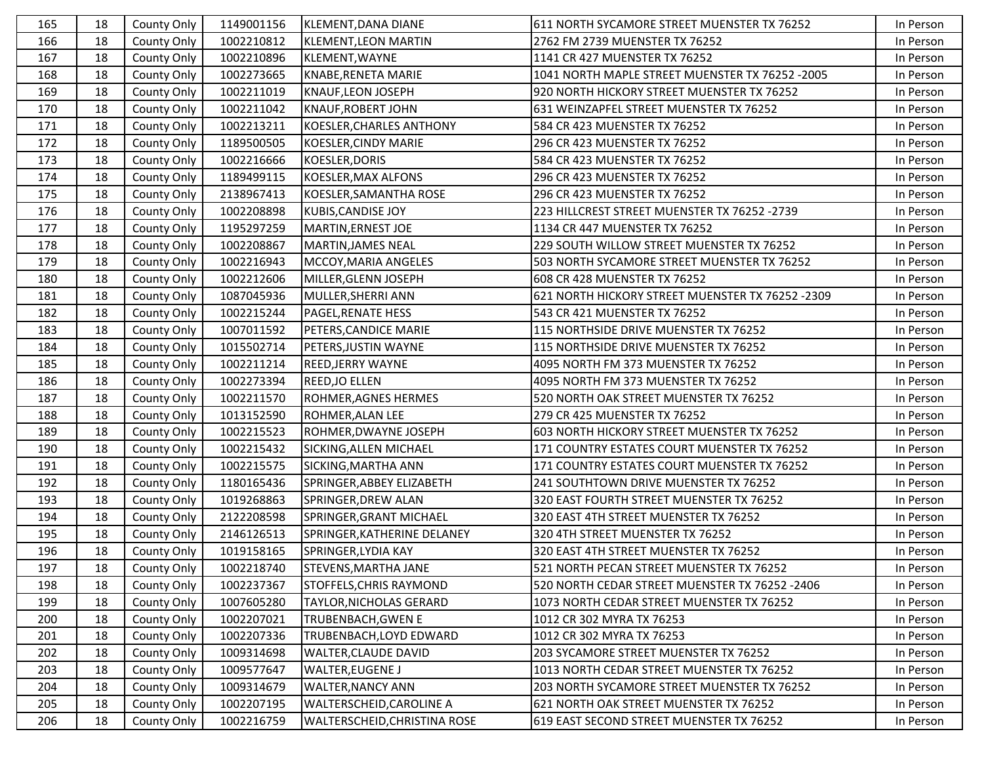| 165 | 18 | County Only | 1149001156 | KLEMENT, DANA DIANE          | 611 NORTH SYCAMORE STREET MUENSTER TX 76252      | In Person |
|-----|----|-------------|------------|------------------------------|--------------------------------------------------|-----------|
| 166 | 18 | County Only | 1002210812 | KLEMENT, LEON MARTIN         | 2762 FM 2739 MUENSTER TX 76252                   | In Person |
| 167 | 18 | County Only | 1002210896 | KLEMENT, WAYNE               | 1141 CR 427 MUENSTER TX 76252                    | In Person |
| 168 | 18 | County Only | 1002273665 | KNABE, RENETA MARIE          | 1041 NORTH MAPLE STREET MUENSTER TX 76252 -2005  | In Person |
| 169 | 18 | County Only | 1002211019 | KNAUF, LEON JOSEPH           | 920 NORTH HICKORY STREET MUENSTER TX 76252       | In Person |
| 170 | 18 | County Only | 1002211042 | <b>KNAUF, ROBERT JOHN</b>    | 631 WEINZAPFEL STREET MUENSTER TX 76252          | In Person |
| 171 | 18 | County Only | 1002213211 | KOESLER, CHARLES ANTHONY     | 584 CR 423 MUENSTER TX 76252                     | In Person |
| 172 | 18 | County Only | 1189500505 | KOESLER, CINDY MARIE         | 296 CR 423 MUENSTER TX 76252                     | In Person |
| 173 | 18 | County Only | 1002216666 | KOESLER, DORIS               | 584 CR 423 MUENSTER TX 76252                     | In Person |
| 174 | 18 | County Only | 1189499115 | KOESLER, MAX ALFONS          | 296 CR 423 MUENSTER TX 76252                     | In Person |
| 175 | 18 | County Only | 2138967413 | KOESLER, SAMANTHA ROSE       | 296 CR 423 MUENSTER TX 76252                     | In Person |
| 176 | 18 | County Only | 1002208898 | <b>KUBIS, CANDISE JOY</b>    | 223 HILLCREST STREET MUENSTER TX 76252 - 2739    | In Person |
| 177 | 18 | County Only | 1195297259 | MARTIN, ERNEST JOE           | 1134 CR 447 MUENSTER TX 76252                    | In Person |
| 178 | 18 | County Only | 1002208867 | MARTIN, JAMES NEAL           | 229 SOUTH WILLOW STREET MUENSTER TX 76252        | In Person |
| 179 | 18 | County Only | 1002216943 | MCCOY, MARIA ANGELES         | 503 NORTH SYCAMORE STREET MUENSTER TX 76252      | In Person |
| 180 | 18 | County Only | 1002212606 | MILLER, GLENN JOSEPH         | 608 CR 428 MUENSTER TX 76252                     | In Person |
| 181 | 18 | County Only | 1087045936 | MULLER, SHERRI ANN           | 621 NORTH HICKORY STREET MUENSTER TX 76252 -2309 | In Person |
| 182 | 18 | County Only | 1002215244 | <b>PAGEL, RENATE HESS</b>    | 543 CR 421 MUENSTER TX 76252                     | In Person |
| 183 | 18 | County Only | 1007011592 | PETERS, CANDICE MARIE        | 115 NORTHSIDE DRIVE MUENSTER TX 76252            | In Person |
| 184 | 18 | County Only | 1015502714 | PETERS, JUSTIN WAYNE         | 115 NORTHSIDE DRIVE MUENSTER TX 76252            | In Person |
| 185 | 18 | County Only | 1002211214 | <b>REED, JERRY WAYNE</b>     | 4095 NORTH FM 373 MUENSTER TX 76252              | In Person |
| 186 | 18 | County Only | 1002273394 | <b>REED, JO ELLEN</b>        | 4095 NORTH FM 373 MUENSTER TX 76252              | In Person |
| 187 | 18 | County Only | 1002211570 | ROHMER, AGNES HERMES         | 520 NORTH OAK STREET MUENSTER TX 76252           | In Person |
| 188 | 18 | County Only | 1013152590 | ROHMER, ALAN LEE             | 279 CR 425 MUENSTER TX 76252                     | In Person |
| 189 | 18 | County Only | 1002215523 | ROHMER, DWAYNE JOSEPH        | 603 NORTH HICKORY STREET MUENSTER TX 76252       | In Person |
| 190 | 18 | County Only | 1002215432 | SICKING, ALLEN MICHAEL       | 171 COUNTRY ESTATES COURT MUENSTER TX 76252      | In Person |
| 191 | 18 | County Only | 1002215575 | SICKING, MARTHA ANN          | 171 COUNTRY ESTATES COURT MUENSTER TX 76252      | In Person |
| 192 | 18 | County Only | 1180165436 | SPRINGER, ABBEY ELIZABETH    | 241 SOUTHTOWN DRIVE MUENSTER TX 76252            | In Person |
| 193 | 18 | County Only | 1019268863 | SPRINGER, DREW ALAN          | 320 EAST FOURTH STREET MUENSTER TX 76252         | In Person |
| 194 | 18 | County Only | 2122208598 | SPRINGER, GRANT MICHAEL      | 320 EAST 4TH STREET MUENSTER TX 76252            | In Person |
| 195 | 18 | County Only | 2146126513 | SPRINGER, KATHERINE DELANEY  | 320 4TH STREET MUENSTER TX 76252                 | In Person |
| 196 | 18 | County Only | 1019158165 | SPRINGER, LYDIA KAY          | 320 EAST 4TH STREET MUENSTER TX 76252            | In Person |
| 197 | 18 | County Only | 1002218740 | <b>STEVENS, MARTHA JANE</b>  | 521 NORTH PECAN STREET MUENSTER TX 76252         | In Person |
| 198 | 18 | County Only | 1002237367 | STOFFELS, CHRIS RAYMOND      | 520 NORTH CEDAR STREET MUENSTER TX 76252 -2406   | In Person |
| 199 | 18 | County Only | 1007605280 | TAYLOR, NICHOLAS GERARD      | 1073 NORTH CEDAR STREET MUENSTER TX 76252        | In Person |
| 200 | 18 | County Only | 1002207021 | TRUBENBACH, GWEN E           | 1012 CR 302 MYRA TX 76253                        | In Person |
| 201 | 18 | County Only | 1002207336 | TRUBENBACH, LOYD EDWARD      | 1012 CR 302 MYRA TX 76253                        | In Person |
| 202 | 18 | County Only | 1009314698 | WALTER, CLAUDE DAVID         | 203 SYCAMORE STREET MUENSTER TX 76252            | In Person |
| 203 | 18 | County Only | 1009577647 | <b>WALTER, EUGENE J</b>      | 1013 NORTH CEDAR STREET MUENSTER TX 76252        | In Person |
| 204 | 18 | County Only | 1009314679 | <b>WALTER, NANCY ANN</b>     | 203 NORTH SYCAMORE STREET MUENSTER TX 76252      | In Person |
| 205 | 18 | County Only | 1002207195 | WALTERSCHEID, CAROLINE A     | 621 NORTH OAK STREET MUENSTER TX 76252           | In Person |
| 206 | 18 | County Only | 1002216759 | WALTERSCHEID, CHRISTINA ROSE | 619 EAST SECOND STREET MUENSTER TX 76252         | In Person |